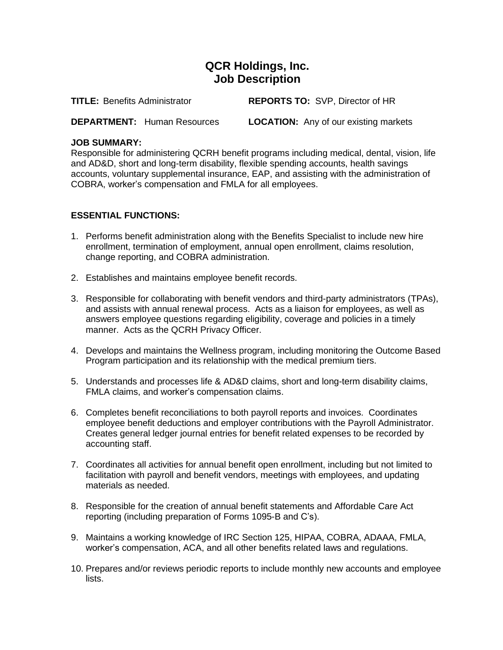## **QCR Holdings, Inc. Job Description**

**TITLE:** Benefits Administrator **REPORTS TO:** SVP, Director of HR

**DEPARTMENT:** Human Resources **LOCATION:** Any of our existing markets

## **JOB SUMMARY:**

Responsible for administering QCRH benefit programs including medical, dental, vision, life and AD&D, short and long-term disability, flexible spending accounts, health savings accounts, voluntary supplemental insurance, EAP, and assisting with the administration of COBRA, worker's compensation and FMLA for all employees.

## **ESSENTIAL FUNCTIONS:**

- 1. Performs benefit administration along with the Benefits Specialist to include new hire enrollment, termination of employment, annual open enrollment, claims resolution, change reporting, and COBRA administration.
- 2. Establishes and maintains employee benefit records.
- 3. Responsible for collaborating with benefit vendors and third-party administrators (TPAs), and assists with annual renewal process. Acts as a liaison for employees, as well as answers employee questions regarding eligibility, coverage and policies in a timely manner. Acts as the QCRH Privacy Officer.
- 4. Develops and maintains the Wellness program, including monitoring the Outcome Based Program participation and its relationship with the medical premium tiers.
- 5. Understands and processes life & AD&D claims, short and long-term disability claims, FMLA claims, and worker's compensation claims.
- 6. Completes benefit reconciliations to both payroll reports and invoices. Coordinates employee benefit deductions and employer contributions with the Payroll Administrator. Creates general ledger journal entries for benefit related expenses to be recorded by accounting staff.
- 7. Coordinates all activities for annual benefit open enrollment, including but not limited to facilitation with payroll and benefit vendors, meetings with employees, and updating materials as needed.
- 8. Responsible for the creation of annual benefit statements and Affordable Care Act reporting (including preparation of Forms 1095-B and C's).
- 9. Maintains a working knowledge of IRC Section 125, HIPAA, COBRA, ADAAA, FMLA, worker's compensation, ACA, and all other benefits related laws and regulations.
- 10. Prepares and/or reviews periodic reports to include monthly new accounts and employee lists.